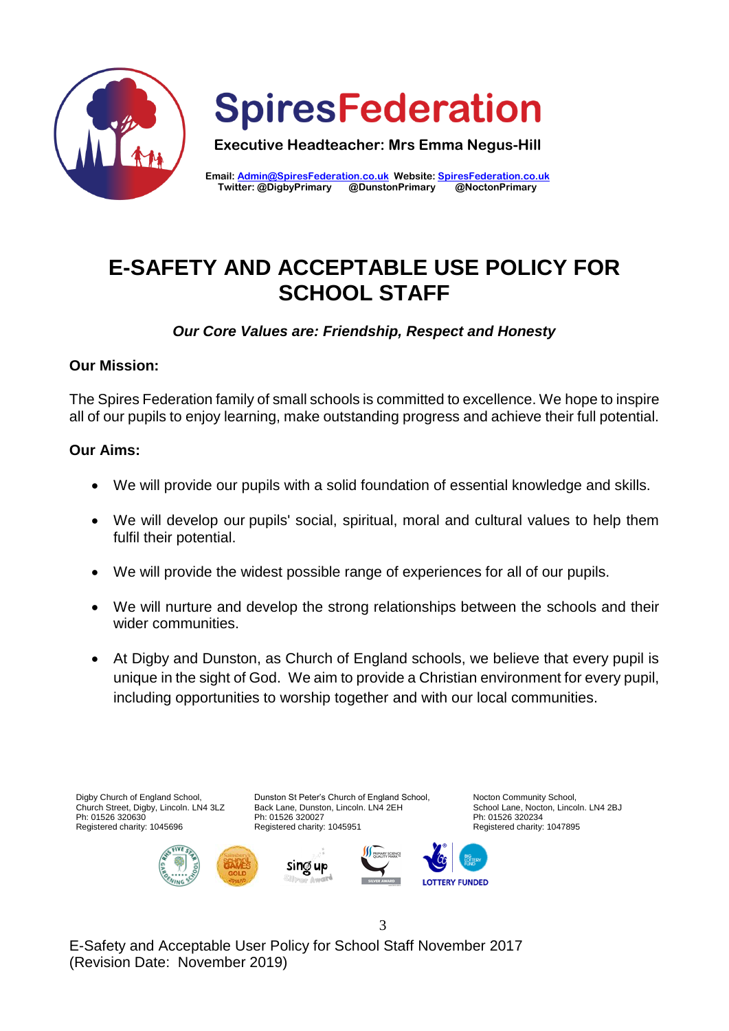

**SpiresFederation** 

**Executive Headteacher: Mrs Emma Negus-Hill**

**Email: [Admin@SpiresFederation.co.uk](mailto:Admin@SpiresFederation.co.uk) Website[: SpiresFederation.co.uk](http://www.spiresfederation.co.uk/) Twitter: @DigbyPrimary @DunstonPrimary @NoctonPrimary**

# **E-SAFETY AND ACCEPTABLE USE POLICY FOR SCHOOL STAFF**

*Our Core Values are: Friendship, Respect and Honesty*

# **Our Mission:**

The Spires Federation family of small schools is committed to excellence. We hope to inspire all of our pupils to enjoy learning, make outstanding progress and achieve their full potential.

# **Our Aims:**

- We will provide our pupils with a solid foundation of essential knowledge and skills.
- We will develop our pupils' social, spiritual, moral and cultural values to help them fulfil their potential.
- We will provide the widest possible range of experiences for all of our pupils.
- We will nurture and develop the strong relationships between the schools and their wider communities.
- At Digby and Dunston, as Church of England schools, we believe that every pupil is unique in the sight of God. We aim to provide a Christian environment for every pupil, including opportunities to worship together and with our local communities.

3



E-Safety and Acceptable User Policy for School Staff November 2017 (Revision Date: November 2019)

Nocton Community School, School Lane, Nocton, Lincoln. LN4 2BJ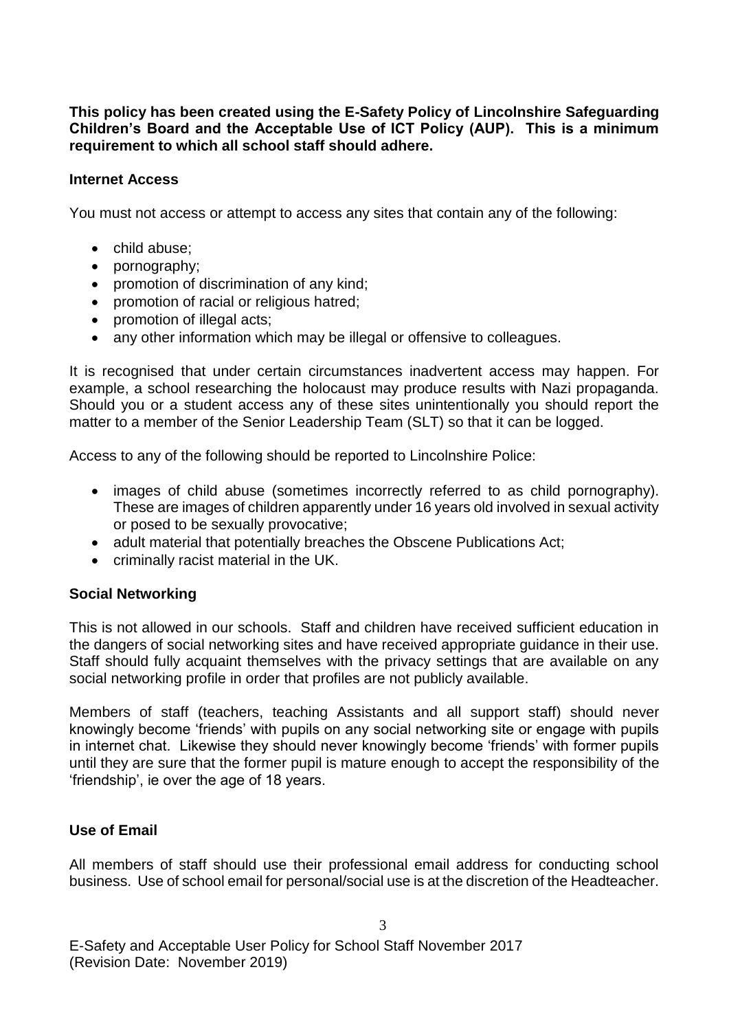**This policy has been created using the E-Safety Policy of Lincolnshire Safeguarding Children's Board and the Acceptable Use of ICT Policy (AUP). This is a minimum requirement to which all school staff should adhere.**

#### **Internet Access**

You must not access or attempt to access any sites that contain any of the following:

- child abuse;
- pornography;
- promotion of discrimination of any kind;
- promotion of racial or religious hatred;
- promotion of illegal acts;
- any other information which may be illegal or offensive to colleagues.

It is recognised that under certain circumstances inadvertent access may happen. For example, a school researching the holocaust may produce results with Nazi propaganda. Should you or a student access any of these sites unintentionally you should report the matter to a member of the Senior Leadership Team (SLT) so that it can be logged.

Access to any of the following should be reported to Lincolnshire Police:

- images of child abuse (sometimes incorrectly referred to as child pornography). These are images of children apparently under 16 years old involved in sexual activity or posed to be sexually provocative;
- adult material that potentially breaches the Obscene Publications Act;
- criminally racist material in the UK.

#### **Social Networking**

This is not allowed in our schools. Staff and children have received sufficient education in the dangers of social networking sites and have received appropriate guidance in their use. Staff should fully acquaint themselves with the privacy settings that are available on any social networking profile in order that profiles are not publicly available.

Members of staff (teachers, teaching Assistants and all support staff) should never knowingly become 'friends' with pupils on any social networking site or engage with pupils in internet chat. Likewise they should never knowingly become 'friends' with former pupils until they are sure that the former pupil is mature enough to accept the responsibility of the 'friendship', ie over the age of 18 years.

#### **Use of Email**

All members of staff should use their professional email address for conducting school business. Use of school email for personal/social use is at the discretion of the Headteacher.

E-Safety and Acceptable User Policy for School Staff November 2017 (Revision Date: November 2019)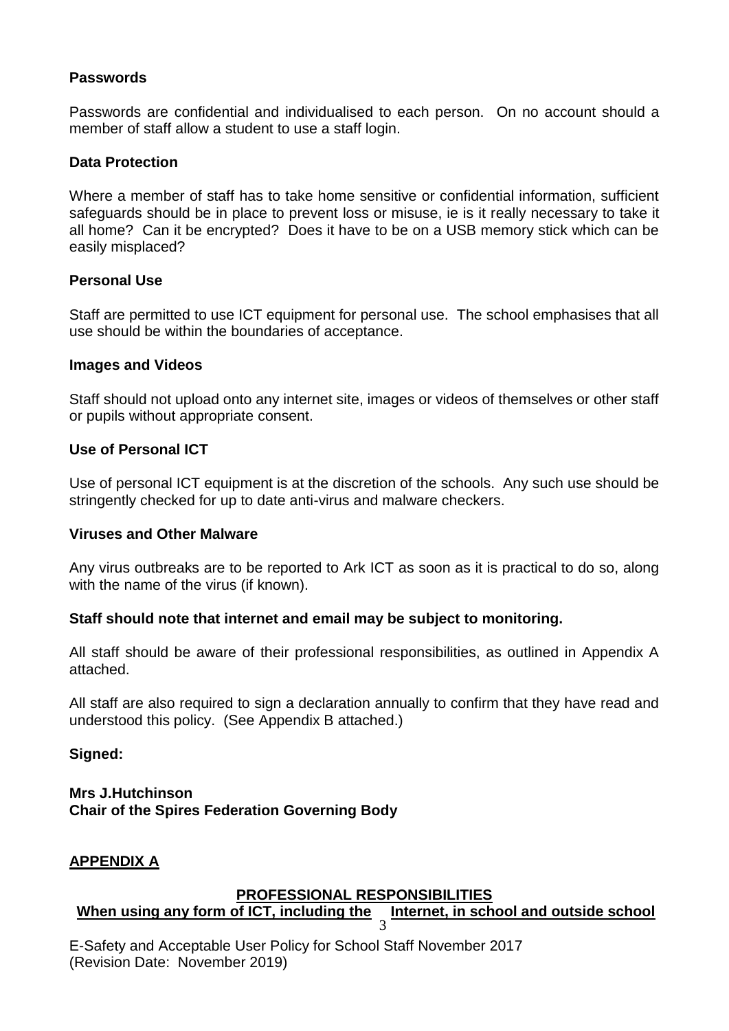### **Passwords**

Passwords are confidential and individualised to each person. On no account should a member of staff allow a student to use a staff login.

### **Data Protection**

Where a member of staff has to take home sensitive or confidential information, sufficient safeguards should be in place to prevent loss or misuse, ie is it really necessary to take it all home? Can it be encrypted? Does it have to be on a USB memory stick which can be easily misplaced?

#### **Personal Use**

Staff are permitted to use ICT equipment for personal use. The school emphasises that all use should be within the boundaries of acceptance.

#### **Images and Videos**

Staff should not upload onto any internet site, images or videos of themselves or other staff or pupils without appropriate consent.

#### **Use of Personal ICT**

Use of personal ICT equipment is at the discretion of the schools. Any such use should be stringently checked for up to date anti-virus and malware checkers.

#### **Viruses and Other Malware**

Any virus outbreaks are to be reported to Ark ICT as soon as it is practical to do so, along with the name of the virus (if known).

#### **Staff should note that internet and email may be subject to monitoring.**

All staff should be aware of their professional responsibilities, as outlined in Appendix A attached.

All staff are also required to sign a declaration annually to confirm that they have read and understood this policy. (See Appendix B attached.)

#### **Signed:**

#### **Mrs J.Hutchinson Chair of the Spires Federation Governing Body**

#### **APPENDIX A**

#### **PROFESSIONAL RESPONSIBILITIES**

#### $\frac{1}{3}$  Internet, in school and outside school **When using any form of ICT, including the**

E-Safety and Acceptable User Policy for School Staff November 2017 (Revision Date: November 2019)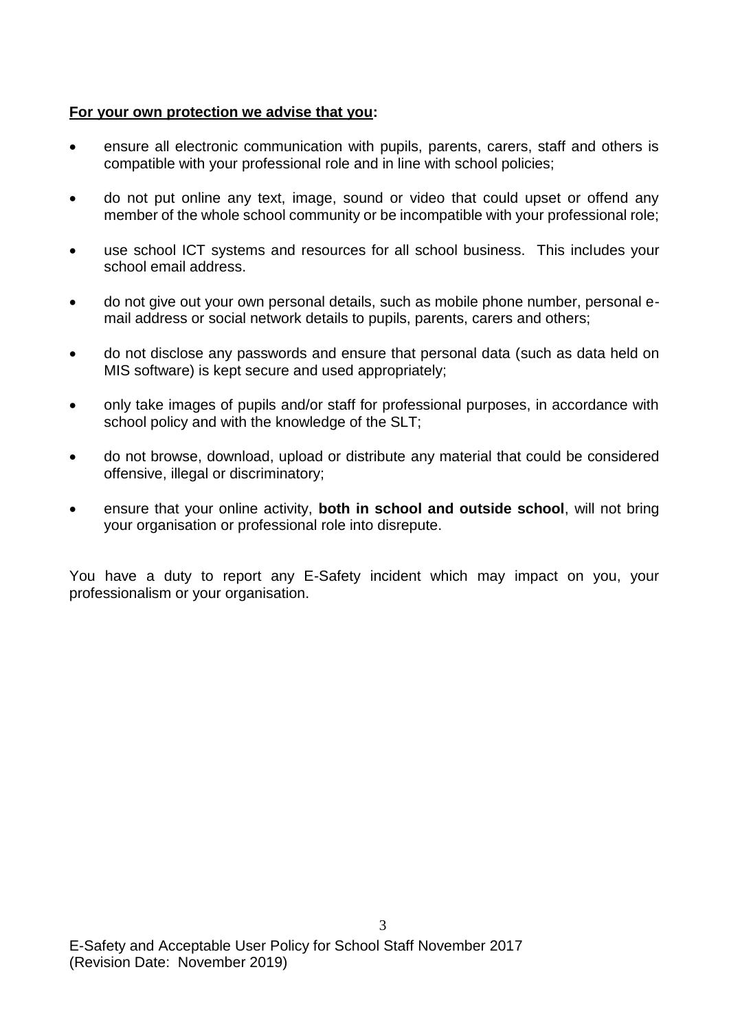#### **For your own protection we advise that you:**

- ensure all electronic communication with pupils, parents, carers, staff and others is compatible with your professional role and in line with school policies;
- do not put online any text, image, sound or video that could upset or offend any member of the whole school community or be incompatible with your professional role;
- use school ICT systems and resources for all school business. This includes your school email address.
- do not give out your own personal details, such as mobile phone number, personal email address or social network details to pupils, parents, carers and others;
- do not disclose any passwords and ensure that personal data (such as data held on MIS software) is kept secure and used appropriately;
- only take images of pupils and/or staff for professional purposes, in accordance with school policy and with the knowledge of the SLT;
- do not browse, download, upload or distribute any material that could be considered offensive, illegal or discriminatory;
- ensure that your online activity, **both in school and outside school**, will not bring your organisation or professional role into disrepute.

You have a duty to report any E-Safety incident which may impact on you, your professionalism or your organisation.